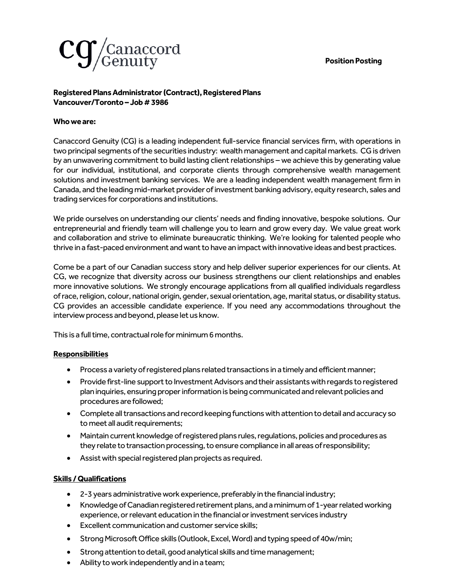**Position Posting**



## **Registered Plans Administrator(Contract), Registered Plans Vancouver/Toronto–Job # 3986**

## **Who we are:**

Canaccord Genuity (CG) is a leading independent full-service financial services firm, with operations in two principal segments of the securities industry: wealth management and capital markets. CG is driven by an unwavering commitment to build lasting client relationships – we achieve this by generating value for our individual, institutional, and corporate clients through comprehensive wealth management solutions and investment banking services. We are a leading independent wealth management firm in Canada, and the leading mid-market provider of investment banking advisory, equity research, sales and trading services for corporations and institutions.

We pride ourselves on understanding our clients' needs and finding innovative, bespoke solutions. Our entrepreneurial and friendly team will challenge you to learn and grow every day. We value great work and collaboration and strive to eliminate bureaucratic thinking. We're looking for talented people who thrive in a fast-paced environment and want to have an impact with innovative ideas and best practices.

Come be a part of our Canadian success story and help deliver superior experiences for our clients. At CG, we recognize that diversity across our business strengthens our client relationships and enables more innovative solutions. We strongly encourage applications from all qualified individuals regardless of race, religion, colour, national origin, gender, sexual orientation, age, marital status, or disability status. CG provides an accessible candidate experience. If you need any accommodations throughout the interview process and beyond, please let us know.

This is a full time, contractual role for minimum 6months.

## **Responsibilities**

- Process a variety of registered plans related transactions in a timely and efficient manner;
- Provide first-line support to Investment Advisors and their assistants with regards to registered plan inquiries, ensuring proper information is being communicated and relevant policies and procedures are followed;
- Complete all transactions and record keeping functions with attention to detail and accuracy so to meet all audit requirements;
- Maintain current knowledge of registered plans rules, regulations, policies and procedures as they relate to transaction processing, to ensure compliance in all areas ofresponsibility;
- Assist with special registered plan projects as required.

## **Skills / Qualifications**

- 2-3 years administrative work experience, preferably in the financial industry;
- Knowledge of Canadian registered retirement plans, and a minimum of 1-yearrelatedworking experience, or relevant education in the financial or investment services industry
- Excellent communication and customer service skills;
- Strong Microsoft Office skills (Outlook, Excel, Word) and typing speed of 40w/min;
- Strong attention to detail, good analytical skills and time management;
- Ability to work independently and in a team;